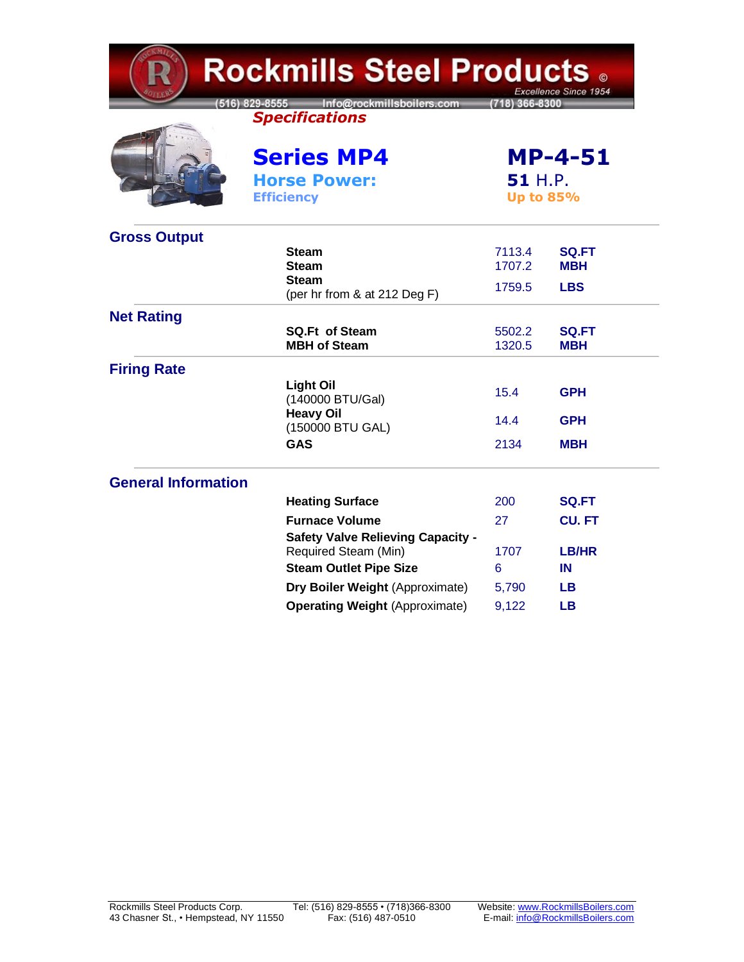| <b>Rockmills Steel Products .</b><br>Excellence Since 1954 |                                                                     |                                               |                            |  |
|------------------------------------------------------------|---------------------------------------------------------------------|-----------------------------------------------|----------------------------|--|
|                                                            | Info@rockmillsboilers.com<br>516) 829-8555<br><b>Specifications</b> | 718) 366-8300                                 |                            |  |
|                                                            | <b>Series MP4</b><br><b>Horse Power:</b><br><b>Efficiency</b>       | <b>MP-4-51</b><br>51 H.P.<br><b>Up to 85%</b> |                            |  |
| <b>Gross Output</b>                                        |                                                                     |                                               |                            |  |
|                                                            | <b>Steam</b><br><b>Steam</b>                                        | 7113.4<br>1707.2                              | <b>SQ.FT</b><br><b>MBH</b> |  |
|                                                            | <b>Steam</b><br>(per hr from & at 212 Deg F)                        | 1759.5                                        | <b>LBS</b>                 |  |
| <b>Net Rating</b>                                          |                                                                     |                                               |                            |  |
|                                                            | <b>SQ.Ft of Steam</b><br><b>MBH of Steam</b>                        | 5502.2<br>1320.5                              | <b>SQ.FT</b><br>MBH        |  |
| <b>Firing Rate</b>                                         |                                                                     |                                               |                            |  |
|                                                            | <b>Light Oil</b><br>(140000 BTU/Gal)                                | 15.4                                          | <b>GPH</b>                 |  |
|                                                            | <b>Heavy Oil</b><br>(150000 BTU GAL)                                | 14.4                                          | <b>GPH</b>                 |  |
|                                                            | GAS                                                                 | 2134                                          | <b>MBH</b>                 |  |
| <b>General Information</b>                                 |                                                                     |                                               |                            |  |
|                                                            | <b>Heating Surface</b>                                              | 200                                           | <b>SQ.FT</b>               |  |
|                                                            | <b>Furnace Volume</b>                                               | 27                                            | <b>CU.FT</b>               |  |
|                                                            | <b>Safety Valve Relieving Capacity -</b><br>Required Steam (Min)    | 1707                                          | LB/HR                      |  |
|                                                            | <b>Steam Outlet Pipe Size</b>                                       | 6                                             | IN                         |  |
|                                                            | Dry Boiler Weight (Approximate)                                     | 5,790                                         | LВ                         |  |
|                                                            | <b>Operating Weight (Approximate)</b>                               | 9,122                                         | <b>LB</b>                  |  |

 $\sim$  10  $\mu$   $\sim$